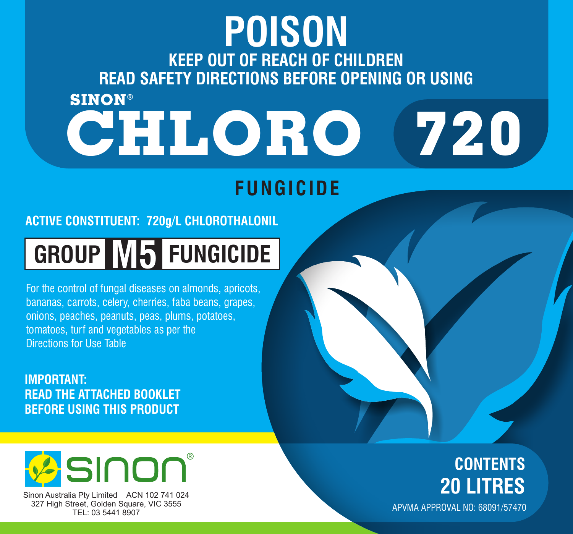## **CHLORO KEEP OUT OF REACH OF CHILDREN READ SAFETY DIRECTIONS BEFORE OPENING OR USING POISON 720 SINON**

## **FUNGICIDE**

### **ACTIVE CONSTITUENT: 720g/L CHLOROTHALONIL**

# **GROUP M5 FUNGICIDE**

For the control of fungal diseases on almonds, apricots, bananas, carrots, celery, cherries, faba beans, grapes, onions, peaches, peanuts, peas, plums, potatoes, tomatoes, turf and vegetables as per the Directions for Use Table

**IMPORTANT: READ THE ATTACHED BOOKLET BEFORE USING THIS PRODUCT**



Sinon Australia Pty Limited ACN 102 741 024 327 High Street, Golden Square, VIC 3555 TEL: 03 5441 8907

## **CONTENTS 20 LITRES**

APVMA APPROVAL NO: 68091/57470